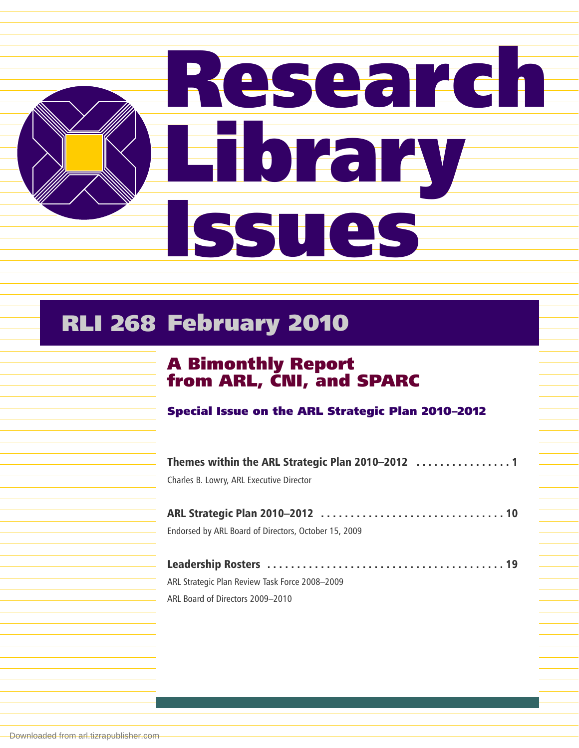

## RLI 268 February 2010

## A Bimonthly Report from ARL, CNI, and SPARC

Special Issue on the ARL Strategic Plan 2010–2012

| Charles B. Lowry, ARL Executive Director             |
|------------------------------------------------------|
|                                                      |
|                                                      |
| Endorsed by ARL Board of Directors, October 15, 2009 |
|                                                      |
|                                                      |
| ARL Strategic Plan Review Task Force 2008-2009       |
| ARL Board of Directors 2009-2010                     |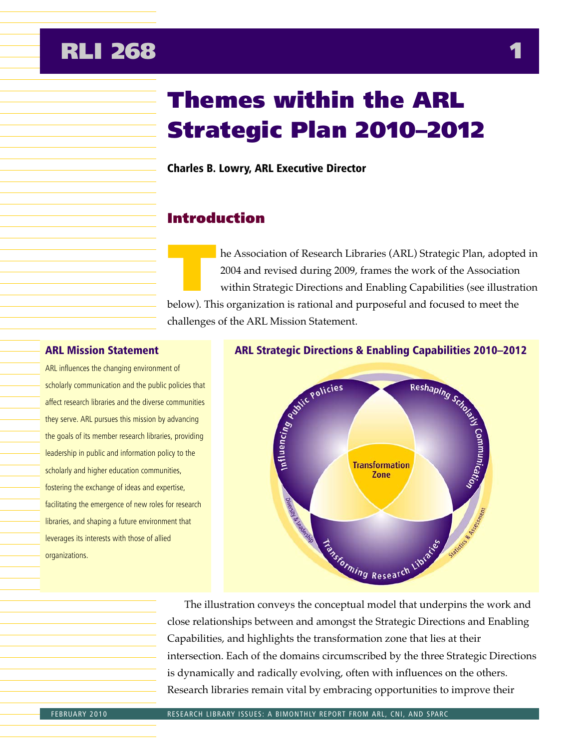## **RLI 268 1**

# Themes within the ARL Strategic Plan 2010–2012

Charles B. Lowry, ARL Executive Director

## Introduction

he Association of Research Libraries (ARL) Strategic Plan, adopted in 2004 and revised during 2009, frames the work of the Association within Strategic Directions and Enabling Capabilities (see illustration below). This organization is rational and purposeful and focused to meet the challenges of the ARL Mission Statement.

#### ARL Mission Statement

ARL influences the changing environment of scholarly communication and the public policies that affect research libraries and the diverse communities they serve. ARL pursues this mission by advancing the goals of its member research libraries, providing leadership in public and information policy to the scholarly and higher education communities, fostering the exchange of ideas and expertise, facilitating the emergence of new roles for research libraries, and shaping a future environment that leverages its interests with those of allied organizations.



The illustration conveys the conceptual model that underpins the work and close relationships between and amongst the Strategic Directions and Enabling Capabilities, and highlights the transformation zone that lies at their intersection. Each of the domains circumscribed by the three Strategic Directions is dynamically and radically evolving, often with influences on the others. Research libraries remain vital by embracing opportunities to improve their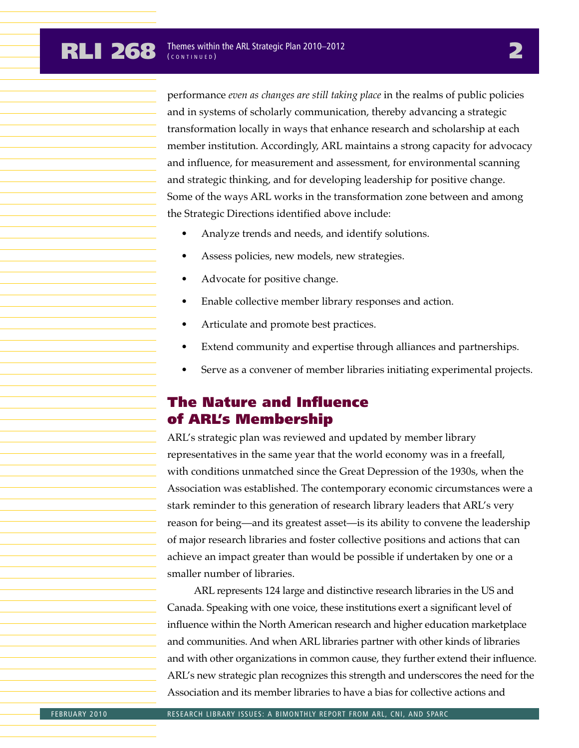performance *even as changes are still taking place* in the realms of public policies and in systems of scholarly communication, thereby advancing a strategic transformation locally in ways that enhance research and scholarship at each member institution. Accordingly, ARL maintains a strong capacity for advocacy and influence, for measurement and assessment, for environmental scanning and strategic thinking, and for developing leadership for positive change. Some of the ways ARL works in the transformation zone between and among the Strategic Directions identified above include:

- Analyze trends and needs, and identify solutions.
- Assess policies, new models, new strategies.
- Advocate for positive change.
- Enable collective member library responses and action.
- Articulate and promote best practices.
- Extend community and expertise through alliances and partnerships.
- Serve as a convener of member libraries initiating experimental projects.

## The Nature and Influence of ARL's Membership

ARL's strategic plan was reviewed and updated by member library representatives in the same year that the world economy was in a freefall, with conditions unmatched since the Great Depression of the 1930s, when the Association was established. The contemporary economic circumstances were a stark reminder to this generation of research library leaders that ARL's very reason for being—and its greatest asset—is its ability to convene the leadership of major research libraries and foster collective positions and actions that can achieve an impact greater than would be possible if undertaken by one or a smaller number of libraries.

ARL represents 124 large and distinctive research libraries in the US and Canada. Speaking with one voice, these institutions exert a significant level of influence within the North American research and higher education marketplace and communities. And when ARL libraries partner with other kinds of libraries and with other organizations in common cause, they further extend their influence. ARL's new strategic plan recognizes this strength and underscores the need for the Association and its member libraries to have a bias for collective actions and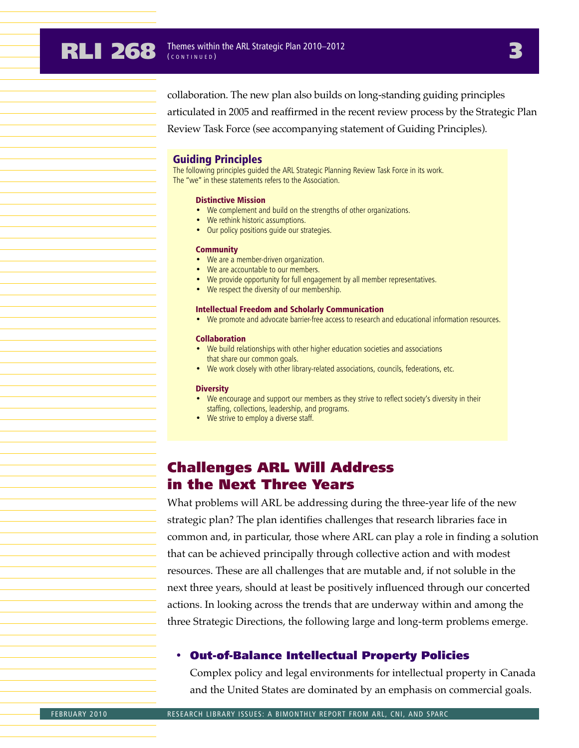collaboration. The new plan also builds on long-standing guiding principles articulated in 2005 and reaffirmed in the recent review process by the Strategic Plan Review Task Force (see accompanying statement of Guiding Principles).

#### Guiding Principles

The following principles guided the ARL Strategic Planning Review Task Force in its work. The "we" in these statements refers to the Association.

#### Distinctive Mission

- We complement and build on the strengths of other organizations.
- We rethink historic assumptions.
- Our policy positions guide our strategies.

#### **Community**

- We are a member-driven organization.
- We are accountable to our members.
- We provide opportunity for full engagement by all member representatives.
- We respect the diversity of our membership.

#### Intellectual Freedom and Scholarly Communication

• We promote and advocate barrier-free access to research and educational information resources.

#### Collaboration

- We build relationships with other higher education societies and associations that share our common goals.
- We work closely with other library-related associations, councils, federations, etc.

#### **Diversity**

- We encourage and support our members as they strive to reflect society's diversity in their staffing, collections, leadership, and programs.
- We strive to employ a diverse staff.

## Challenges ARL Will Address in the Next Three Years

What problems will ARL be addressing during the three-year life of the new strategic plan? The plan identifies challenges that research libraries face in common and, in particular, those where ARL can play a role in finding a solution that can be achieved principally through collective action and with modest resources. These are all challenges that are mutable and, if not soluble in the next three years, should at least be positively influenced through our concerted actions. In looking across the trends that are underway within and among the three Strategic Directions, the following large and long-term problems emerge.

#### • Out-of-Balance Intellectual Property Policies

Complex policy and legal environments for intellectual property in Canada and the United States are dominated by an emphasis on commercial goals.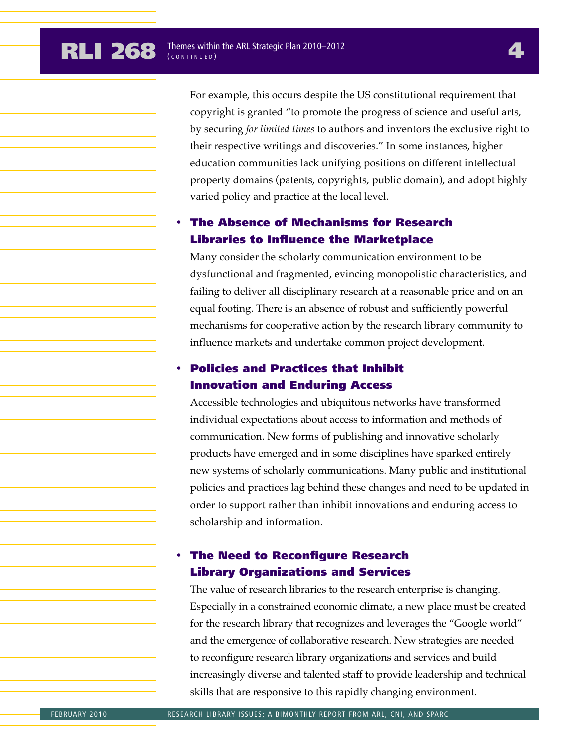For example, this occurs despite the US constitutional requirement that copyright is granted "to promote the progress of science and useful arts, by securing *for limited times* to authors and inventors the exclusive right to their respective writings and discoveries." In some instances, higher education communities lack unifying positions on different intellectual property domains (patents, copyrights, public domain), and adopt highly varied policy and practice at the local level.

### • The Absence of Mechanisms for Research Libraries to Influence the Marketplace

Many consider the scholarly communication environment to be dysfunctional and fragmented, evincing monopolistic characteristics, and failing to deliver all disciplinary research at a reasonable price and on an equal footing. There is an absence of robust and sufficiently powerful mechanisms for cooperative action by the research library community to influence markets and undertake common project development.

### • Policies and Practices that Inhibit Innovation and Enduring Access

Accessible technologies and ubiquitous networks have transformed individual expectations about access to information and methods of communication. New forms of publishing and innovative scholarly products have emerged and in some disciplines have sparked entirely new systems of scholarly communications. Many public and institutional policies and practices lag behind these changes and need to be updated in order to support rather than inhibit innovations and enduring access to scholarship and information.

### **The Need to Reconfigure Research** Library Organizations and Services

The value of research libraries to the research enterprise is changing. Especially in a constrained economic climate, a new place must be created for the research library that recognizes and leverages the "Google world" and the emergence of collaborative research. New strategies are needed to reconfigure research library organizations and services and build increasingly diverse and talented staff to provide leadership and technical skills that are responsive to this rapidly changing environment.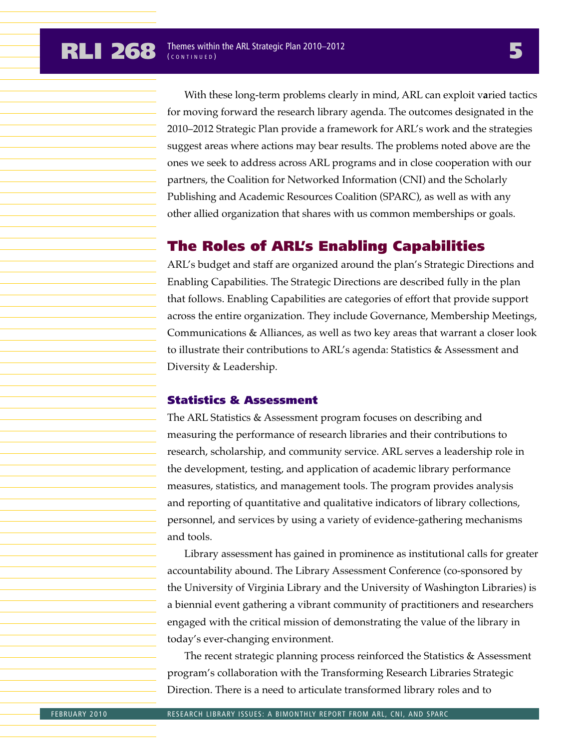With these long-term problems clearly in mind, ARL can exploit v**a**ried tactics for moving forward the research library agenda. The outcomes designated in the 2010–2012 Strategic Plan provide a framework for ARL's work and the strategies suggest areas where actions may bear results. The problems noted above are the ones we seek to address across ARL programs and in close cooperation with our partners, the Coalition for Networked Information (CNI) and the Scholarly Publishing and Academic Resources Coalition (SPARC), as well as with any other allied organization that shares with us common memberships or goals.

### The Roles of ARL's Enabling Capabilities

ARL's budget and staff are organized around the plan's Strategic Directions and Enabling Capabilities. The Strategic Directions are described fully in the plan that follows. Enabling Capabilities are categories of effort that provide support across the entire organization. They include Governance, Membership Meetings, Communications & Alliances, as well as two key areas that warrant a closer look to illustrate their contributions to ARL's agenda: Statistics & Assessment and Diversity & Leadership.

### Statistics & Assessment

The ARL Statistics & Assessment program focuses on describing and measuring the performance of research libraries and their contributions to research, scholarship, and community service. ARL serves a leadership role in the development, testing, and application of academic library performance measures, statistics, and management tools. The program provides analysis and reporting of quantitative and qualitative indicators of library collections, personnel, and services by using a variety of evidence-gathering mechanisms and tools.

Library assessment has gained in prominence as institutional calls for greater accountability abound. The Library Assessment Conference (co-sponsored by the University of Virginia Library and the University of Washington Libraries) is a biennial event gathering a vibrant community of practitioners and researchers engaged with the critical mission of demonstrating the value of the library in today's ever-changing environment.

The recent strategic planning process reinforced the Statistics & Assessment program's collaboration with the Transforming Research Libraries Strategic Direction. There is a need to articulate transformed library roles and to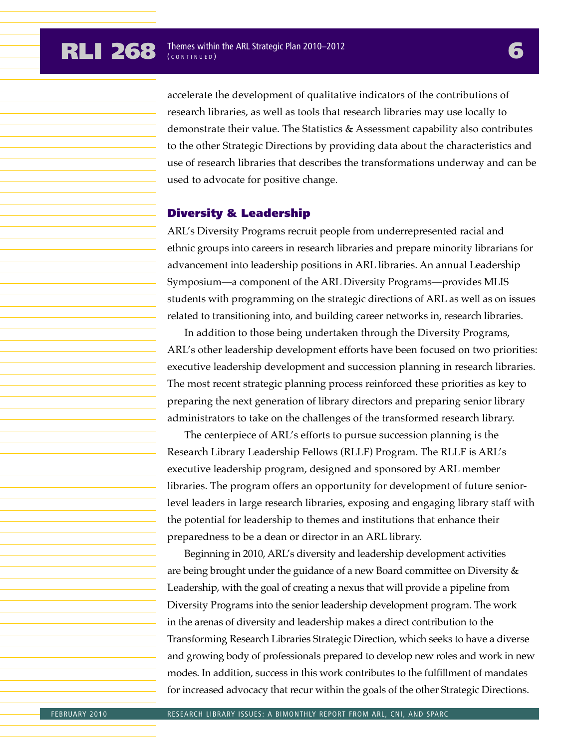accelerate the development of qualitative indicators of the contributions of research libraries, as well as tools that research libraries may use locally to demonstrate their value. The Statistics & Assessment capability also contributes to the other Strategic Directions by providing data about the characteristics and use of research libraries that describes the transformations underway and can be used to advocate for positive change.

#### Diversity & Leadership

ARL's Diversity Programs recruit people from underrepresented racial and ethnic groups into careers in research libraries and prepare minority librarians for advancement into leadership positions in ARL libraries. An annual Leadership Symposium—a component of the ARL Diversity Programs—provides MLIS students with programming on the strategic directions of ARL as well as on issues related to transitioning into, and building career networks in, research libraries.

In addition to those being undertaken through the Diversity Programs, ARL's other leadership development efforts have been focused on two priorities: executive leadership development and succession planning in research libraries. The most recent strategic planning process reinforced these priorities as key to preparing the next generation of library directors and preparing senior library administrators to take on the challenges of the transformed research library.

The centerpiece of ARL's efforts to pursue succession planning is the Research Library Leadership Fellows (RLLF) Program. The RLLF is ARL's executive leadership program, designed and sponsored by ARL member libraries. The program offers an opportunity for development of future seniorlevel leaders in large research libraries, exposing and engaging library staff with the potential for leadership to themes and institutions that enhance their preparedness to be a dean or director in an ARL library.

Beginning in 2010, ARL's diversity and leadership development activities are being brought under the guidance of a new Board committee on Diversity & Leadership, with the goal of creating a nexus that will provide a pipeline from Diversity Programs into the senior leadership development program. The work in the arenas of diversity and leadership makes a direct contribution to the Transforming Research Libraries Strategic Direction, which seeks to have a diverse and growing body of professionals prepared to develop new roles and work in new modes. In addition, success in this work contributes to the fulfillment of mandates for increased advocacy that recur within the goals of the other Strategic Directions.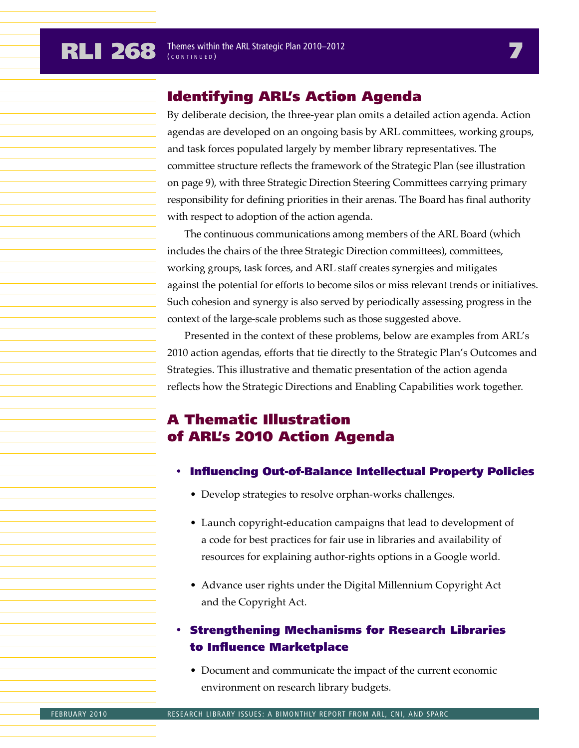## Identifying ARL's Action Agenda

By deliberate decision, the three-year plan omits a detailed action agenda. Action agendas are developed on an ongoing basis by ARL committees, working groups, and task forces populated largely by member library representatives. The committee structure reflects the framework of the Strategic Plan (see illustration on page 9), with three Strategic Direction Steering Committees carrying primary responsibility for defining priorities in their arenas. The Board has final authority with respect to adoption of the action agenda.

The continuous communications among members of the ARL Board (which includes the chairs of the three Strategic Direction committees), committees, working groups, task forces, and ARL staff creates synergies and mitigates against the potential for efforts to become silos or miss relevant trends or initiatives. Such cohesion and synergy is also served by periodically assessing progress in the context of the large-scale problems such as those suggested above.

Presented in the context of these problems, below are examples from ARL's 2010 action agendas, efforts that tie directly to the Strategic Plan's Outcomes and Strategies. This illustrative and thematic presentation of the action agenda reflects how the Strategic Directions and Enabling Capabilities work together.

## A Thematic Illustration of ARL's 2010 Action Agenda

- Influencing Out-of-Balance Intellectual Property Policies
	- Develop strategies to resolve orphan-works challenges.
	- Launch copyright-education campaigns that lead to development of a code for best practices for fair use in libraries and availability of resources for explaining author-rights options in a Google world.
	- Advance user rights under the Digital Millennium Copyright Act and the Copyright Act.

### • Strengthening Mechanisms for Research Libraries to Influence Marketplace

• Document and communicate the impact of the current economic environment on research library budgets.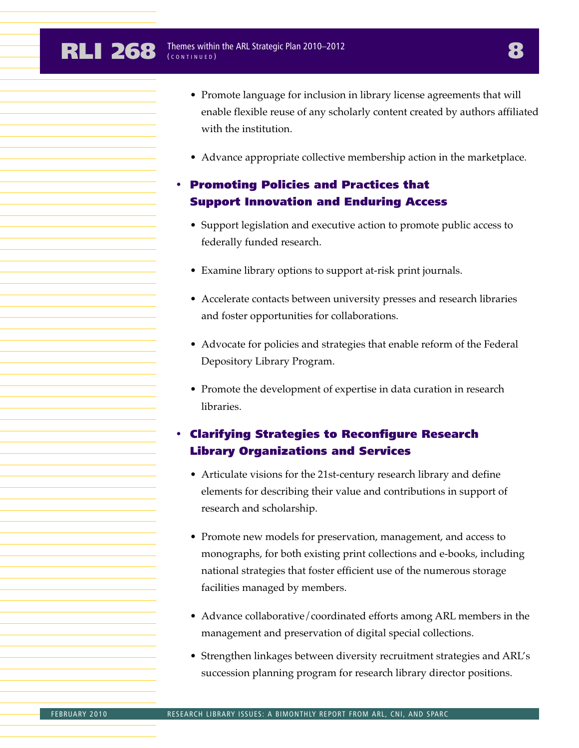- Promote language for inclusion in library license agreements that will enable flexible reuse of any scholarly content created by authors affiliated with the institution.
- Advance appropriate collective membership action in the marketplace.

### • Promoting Policies and Practices that Support Innovation and Enduring Access

- Support legislation and executive action to promote public access to federally funded research.
- Examine library options to support at-risk print journals.
- Accelerate contacts between university presses and research libraries and foster opportunities for collaborations.
- Advocate for policies and strategies that enable reform of the Federal Depository Library Program.
- Promote the development of expertise in data curation in research libraries.

### • Clarifying Strategies to Reconfigure Research Library Organizations and Services

- Articulate visions for the 21st-century research library and define elements for describing their value and contributions in support of research and scholarship.
- Promote new models for preservation, management, and access to monographs, for both existing print collections and e-books, including national strategies that foster efficient use of the numerous storage facilities managed by members.
- Advance collaborative/coordinated efforts among ARL members in the management and preservation of digital special collections.
- Strengthen linkages between diversity recruitment strategies and ARL's succession planning program for research library director positions.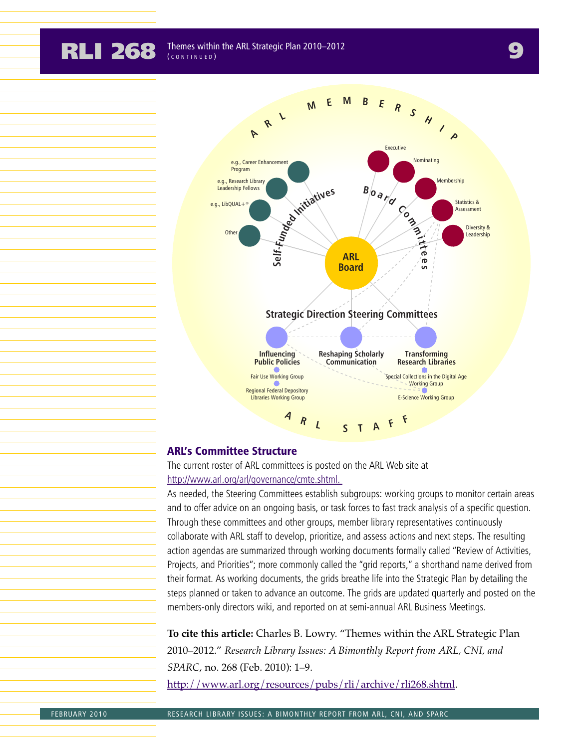**RLI 268** *Ihemes within the ARL Strategic Plan 2010–2012* ( CONTINUED )



#### ARL's Committee Structure

The current roster of ARL committees is posted on the ARL Web site at http://www.arl.org/arl/governance/cmte.shtml.

As needed, the Steering Committees establish subgroups: working groups to monitor certain areas and to offer advice on an ongoing basis, or task forces to fast track analysis of a specific question. Through these committees and other groups, member library representatives continuously collaborate with ARL staff to develop, prioritize, and assess actions and next steps. The resulting action agendas are summarized through working documents formally called "Review of Activities, Projects, and Priorities"; more commonly called the "grid reports," a shorthand name derived from their format. As working documents, the grids breathe life into the Strategic Plan by detailing the steps planned or taken to advance an outcome. The grids are updated quarterly and posted on the members-only directors wiki, and reported on at semi-annual ARL Business Meetings.

**To cite this article:** Charles B. Lowry. "Themes within the ARL Strategic Plan 2010–2012." *Research Library Issues: A Bimonthly Report from ARL, CNI, and SPARC*, no. 268 (Feb. 2010): 1–9.

http://www.arl.org/resources/pubs/rli/archive/rli268.shtml.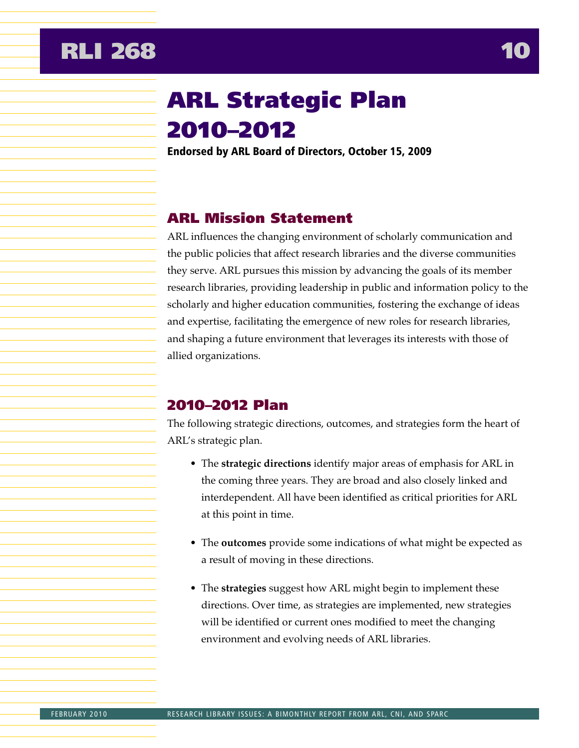## <span id="page-10-0"></span>**RLI 268 10**

# ARL Strategic Plan 2010–2012

Endorsed by ARL Board of Directors, October 15, 2009

## ARL Mission Statement

ARL influences the changing environment of scholarly communication and the public policies that affect research libraries and the diverse communities they serve. ARL pursues this mission by advancing the goals of its member research libraries, providing leadership in public and information policy to the scholarly and higher education communities, fostering the exchange of ideas and expertise, facilitating the emergence of new roles for research libraries, and shaping a future environment that leverages its interests with those of allied organizations.

## 2010–2012 Plan

The following strategic directions, outcomes, and strategies form the heart of ARL's strategic plan.

- The **strategic directions** identify major areas of emphasis for ARL in the coming three years. They are broad and also closely linked and interdependent. All have been identified as critical priorities for ARL at this point in time.
- The **outcomes** provide some indications of what might be expected as a result of moving in these directions.
- The **strategies** suggest how ARL might begin to implement these directions. Over time, as strategies are implemented, new strategies will be identified or current ones modified to meet the changing environment and evolving needs of ARL libraries.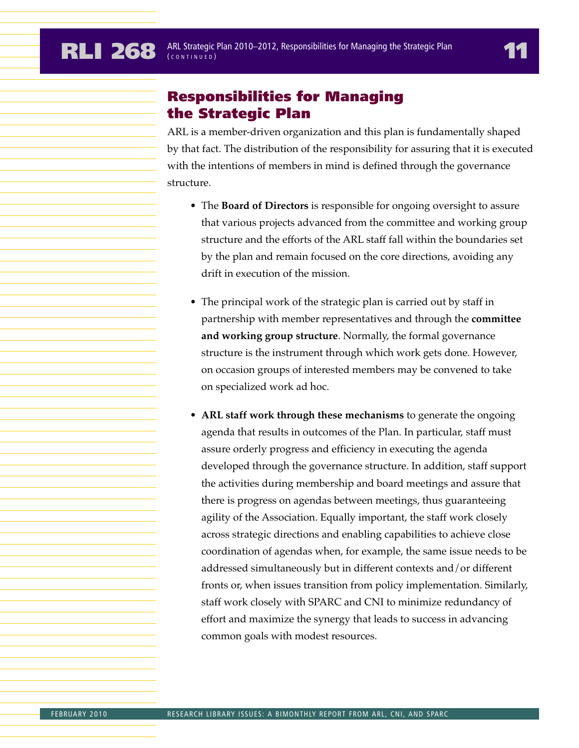## Responsibilities for Managing the Strategic Plan

ARL is a member-driven organization and this plan is fundamentally shaped by that fact. The distribution of the responsibility for assuring that it is executed with the intentions of members in mind is defined through the governance structure.

- The **Board of Directors** is responsible for ongoing oversight to assure that various projects advanced from the committee and working group structure and the efforts of the ARL staff fall within the boundaries set by the plan and remain focused on the core directions, avoiding any drift in execution of the mission.
- The principal work of the strategic plan is carried out by staff in partnership with member representatives and through the **committee and working group structure**. Normally, the formal governance structure is the instrument through which work gets done. However, on occasion groups of interested members may be convened to take on specialized work ad hoc.
- **ARL staff work through these mechanisms** to generate the ongoing agenda that results in outcomes of the Plan. In particular, staff must assure orderly progress and efficiency in executing the agenda developed through the governance structure. In addition, staff support the activities during membership and board meetings and assure that there is progress on agendas between meetings, thus guaranteeing agility of the Association. Equally important, the staff work closely across strategic directions and enabling capabilities to achieve close coordination of agendas when, for example, the same issue needs to be addressed simultaneously but in different contexts and/or different fronts or, when issues transition from policy implementation. Similarly, staff work closely with SPARC and CNI to minimize redundancy of effort and maximize the synergy that leads to success in advancing common goals with modest resources.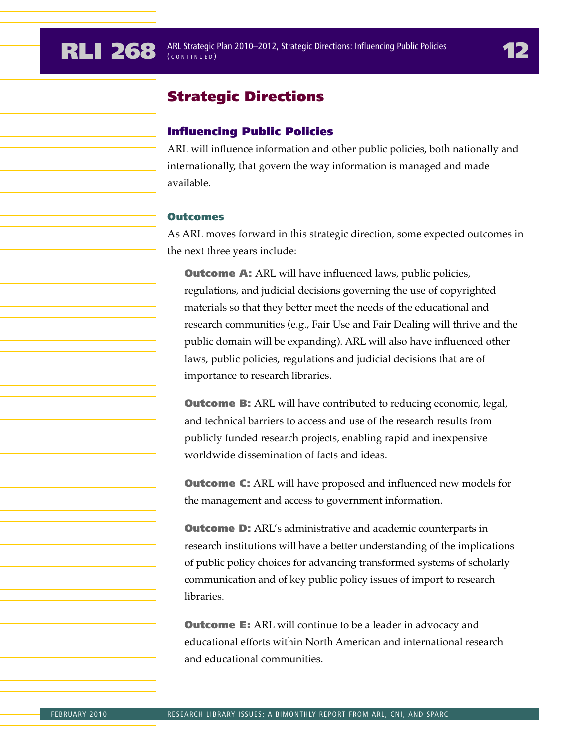## Strategic Directions

### Influencing Public Policies

ARL will influence information and other public policies, both nationally and internationally, that govern the way information is managed and made available.

#### **Outcomes**

As ARL moves forward in this strategic direction, some expected outcomes in the next three years include:

**Outcome A:** ARL will have influenced laws, public policies, regulations, and judicial decisions governing the use of copyrighted materials so that they better meet the needs of the educational and research communities (e.g., Fair Use and Fair Dealing will thrive and the public domain will be expanding). ARL will also have influenced other laws, public policies, regulations and judicial decisions that are of importance to research libraries.

**Outcome B:** ARL will have contributed to reducing economic, legal, and technical barriers to access and use of the research results from publicly funded research projects, enabling rapid and inexpensive worldwide dissemination of facts and ideas.

**Outcome C:** ARL will have proposed and influenced new models for the management and access to government information.

**Outcome D:** ARL's administrative and academic counterparts in research institutions will have a better understanding of the implications of public policy choices for advancing transformed systems of scholarly communication and of key public policy issues of import to research libraries.

**Outcome E:** ARL will continue to be a leader in advocacy and educational efforts within North American and international research and educational communities.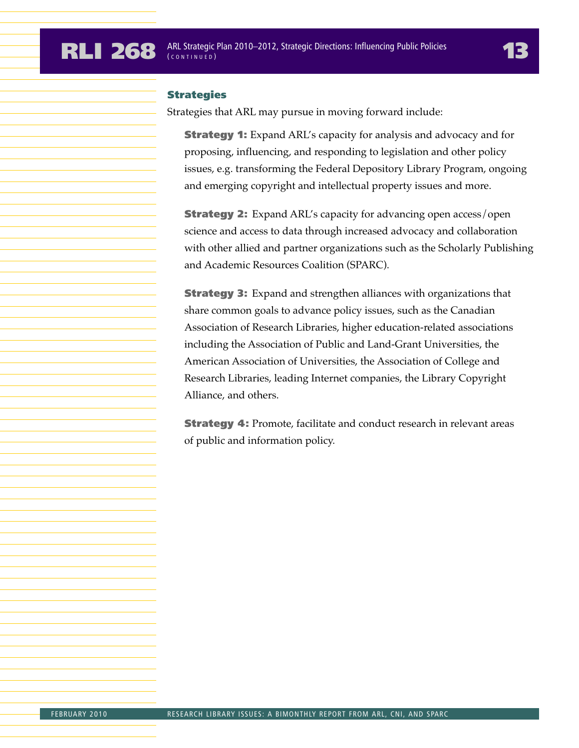#### **Strategies**

Strategies that ARL may pursue in moving forward include:

**Strategy 1:** Expand ARL's capacity for analysis and advocacy and for proposing, influencing, and responding to legislation and other policy issues, e.g. transforming the Federal Depository Library Program, ongoing and emerging copyright and intellectual property issues and more.

**Strategy 2:** Expand ARL's capacity for advancing open access/open science and access to data through increased advocacy and collaboration with other allied and partner organizations such as the Scholarly Publishing and Academic Resources Coalition (SPARC).

**Strategy 3:** Expand and strengthen alliances with organizations that share common goals to advance policy issues, such as the Canadian Association of Research Libraries, higher education-related associations including the Association of Public and Land-Grant Universities, the American Association of Universities, the Association of College and Research Libraries, leading Internet companies, the Library Copyright Alliance, and others.

**Strategy 4:** Promote, facilitate and conduct research in relevant areas of public and information policy.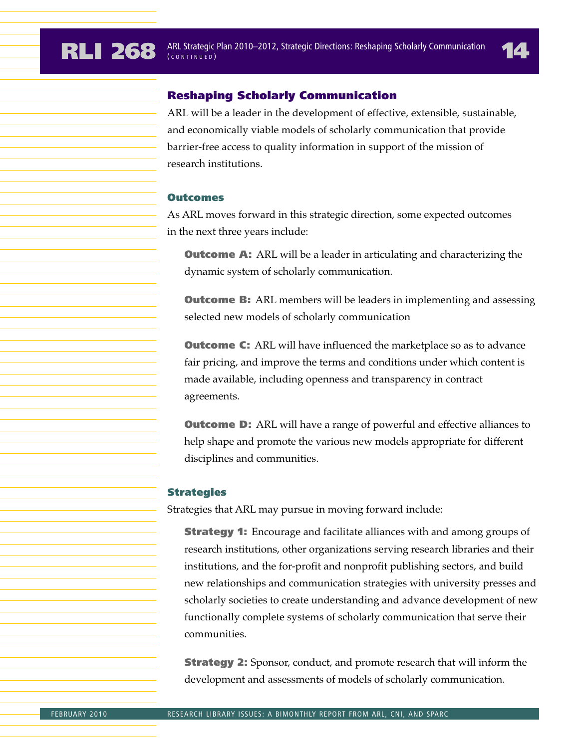#### Reshaping Scholarly Communication

ARL will be a leader in the development of effective, extensible, sustainable, and economically viable models of scholarly communication that provide barrier-free access to quality information in support of the mission of research institutions.

#### **Outcomes**

As ARL moves forward in this strategic direction, some expected outcomes in the next three years include:

**Outcome A:** ARL will be a leader in articulating and characterizing the dynamic system of scholarly communication.

**Outcome B:** ARL members will be leaders in implementing and assessing selected new models of scholarly communication

**Outcome C:** ARL will have influenced the marketplace so as to advance fair pricing, and improve the terms and conditions under which content is made available, including openness and transparency in contract agreements.

**Outcome D:** ARL will have a range of powerful and effective alliances to help shape and promote the various new models appropriate for different disciplines and communities.

#### Strategies

Strategies that ARL may pursue in moving forward include:

**Strategy 1:** Encourage and facilitate alliances with and among groups of research institutions, other organizations serving research libraries and their institutions, and the for-profit and nonprofit publishing sectors, and build new relationships and communication strategies with university presses and scholarly societies to create understanding and advance development of new functionally complete systems of scholarly communication that serve their communities.

**Strategy 2:** Sponsor, conduct, and promote research that will inform the development and assessments of models of scholarly communication.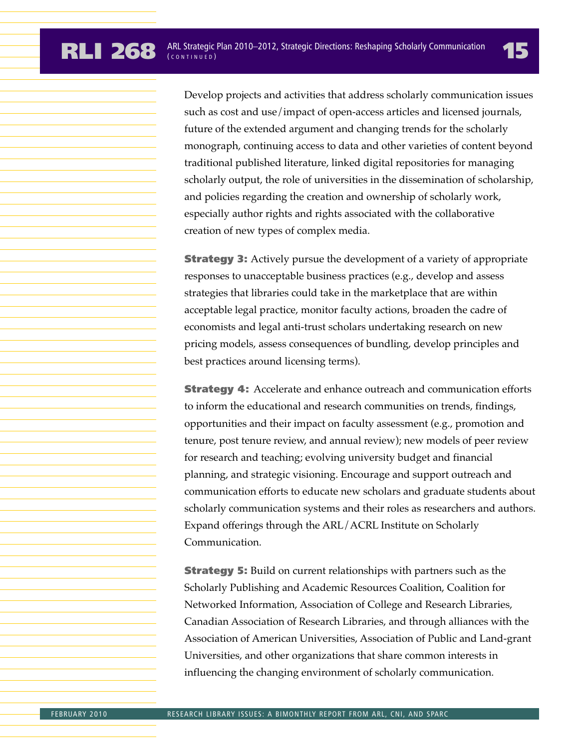Develop projects and activities that address scholarly communication issues such as cost and use/impact of open-access articles and licensed journals, future of the extended argument and changing trends for the scholarly monograph, continuing access to data and other varieties of content beyond traditional published literature, linked digital repositories for managing scholarly output, the role of universities in the dissemination of scholarship, and policies regarding the creation and ownership of scholarly work, especially author rights and rights associated with the collaborative creation of new types of complex media.

**Strategy 3:** Actively pursue the development of a variety of appropriate responses to unacceptable business practices (e.g., develop and assess strategies that libraries could take in the marketplace that are within acceptable legal practice, monitor faculty actions, broaden the cadre of economists and legal anti-trust scholars undertaking research on new pricing models, assess consequences of bundling, develop principles and best practices around licensing terms).

**Strategy 4:** Accelerate and enhance outreach and communication efforts to inform the educational and research communities on trends, findings, opportunities and their impact on faculty assessment (e.g., promotion and tenure, post tenure review, and annual review); new models of peer review for research and teaching; evolving university budget and financial planning, and strategic visioning. Encourage and support outreach and communication efforts to educate new scholars and graduate students about scholarly communication systems and their roles as researchers and authors. Expand offerings through the ARL/ACRL Institute on Scholarly Communication.

**Strategy 5:** Build on current relationships with partners such as the Scholarly Publishing and Academic Resources Coalition, Coalition for Networked Information, Association of College and Research Libraries, Canadian Association of Research Libraries, and through alliances with the Association of American Universities, Association of Public and Land-grant Universities, and other organizations that share common interests in influencing the changing environment of scholarly communication.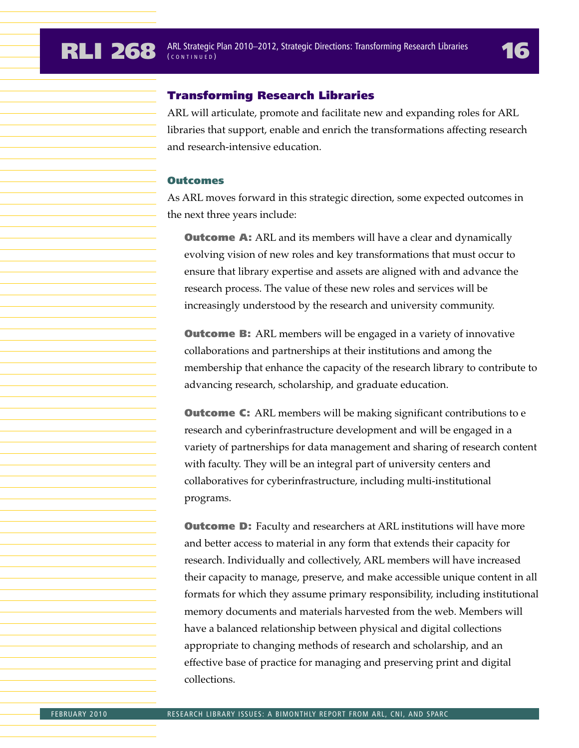#### Transforming Research Libraries

ARL will articulate, promote and facilitate new and expanding roles for ARL libraries that support, enable and enrich the transformations affecting research and research-intensive education.

#### **Outcomes**

As ARL moves forward in this strategic direction, some expected outcomes in the next three years include:

**Outcome A:** ARL and its members will have a clear and dynamically evolving vision of new roles and key transformations that must occur to ensure that library expertise and assets are aligned with and advance the research process. The value of these new roles and services will be increasingly understood by the research and university community.

**Outcome B:** ARL members will be engaged in a variety of innovative collaborations and partnerships at their institutions and among the membership that enhance the capacity of the research library to contribute to advancing research, scholarship, and graduate education.

**Outcome C:** ARL members will be making significant contributions to e research and cyberinfrastructure development and will be engaged in a variety of partnerships for data management and sharing of research content with faculty. They will be an integral part of university centers and collaboratives for cyberinfrastructure, including multi-institutional programs.

**Outcome D:** Faculty and researchers at ARL institutions will have more and better access to material in any form that extends their capacity for research. Individually and collectively, ARL members will have increased their capacity to manage, preserve, and make accessible unique content in all formats for which they assume primary responsibility, including institutional memory documents and materials harvested from the web. Members will have a balanced relationship between physical and digital collections appropriate to changing methods of research and scholarship, and an effective base of practice for managing and preserving print and digital collections.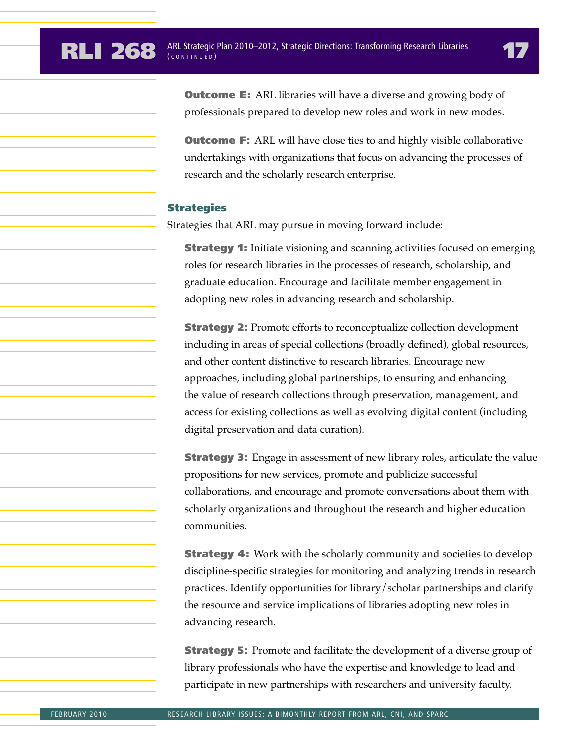**Outcome E:** ARL libraries will have a diverse and growing body of professionals prepared to develop new roles and work in new modes.

**Outcome F:** ARL will have close ties to and highly visible collaborative undertakings with organizations that focus on advancing the processes of research and the scholarly research enterprise.

#### **Strategies**

Strategies that ARL may pursue in moving forward include:

**Strategy 1:** Initiate visioning and scanning activities focused on emerging roles for research libraries in the processes of research, scholarship, and graduate education. Encourage and facilitate member engagement in adopting new roles in advancing research and scholarship.

**Strategy 2:** Promote efforts to reconceptualize collection development including in areas of special collections (broadly defined), global resources, and other content distinctive to research libraries. Encourage new approaches, including global partnerships, to ensuring and enhancing the value of research collections through preservation, management, and access for existing collections as well as evolving digital content (including digital preservation and data curation).

**Strategy 3:** Engage in assessment of new library roles, articulate the value propositions for new services, promote and publicize successful collaborations, and encourage and promote conversations about them with scholarly organizations and throughout the research and higher education communities.

**Strategy 4:** Work with the scholarly community and societies to develop discipline-specific strategies for monitoring and analyzing trends in research practices. Identify opportunities for library/scholar partnerships and clarify the resource and service implications of libraries adopting new roles in advancing research.

**Strategy 5:** Promote and facilitate the development of a diverse group of library professionals who have the expertise and knowledge to lead and participate in new partnerships with researchers and university faculty.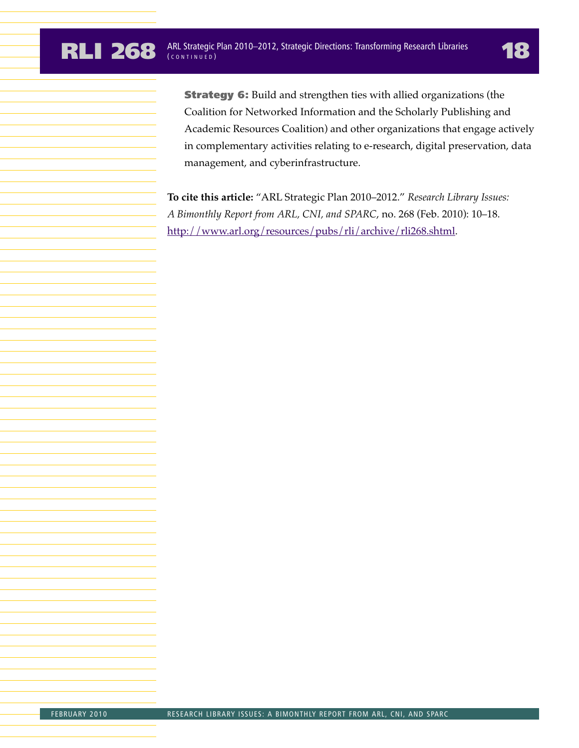**Strategy 6:** Build and strengthen ties with allied organizations (the Coalition for Networked Information and the Scholarly Publishing and Academic Resources Coalition) and other organizations that engage actively in complementary activities relating to e-research, digital preservation, data management, and cyberinfrastructure.

**To cite this article:** "ARL Strategic Plan 2010–2012." *Research Library Issues: A Bimonthly Report from ARL, CNI, and SPARC*, no. 268 (Feb. 2010): 10–18. http://www.arl.org/resources/pubs/rli/archive/rli268.shtml.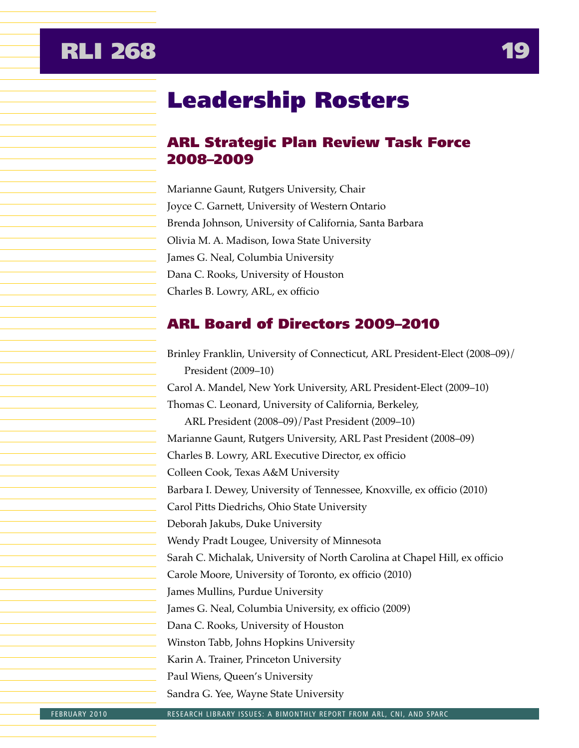## <span id="page-19-0"></span>**RLI 268**

## Leadership Rosters

## ARL Strategic Plan Review Task Force 2008–2009

Marianne Gaunt, Rutgers University, Chair Joyce C. Garnett, University of Western Ontario Brenda Johnson, University of California, Santa Barbara Olivia M. A. Madison, Iowa State University James G. Neal, Columbia University Dana C. Rooks, University of Houston Charles B. Lowry, ARL, ex officio

## ARL Board of Directors 2009–2010

Brinley Franklin, University of Connecticut, ARL President-Elect (2008–09)/ President (2009–10) Carol A. Mandel, New York University, ARL President-Elect (2009–10) Thomas C. Leonard, University of California, Berkeley, ARL President (2008–09)/Past President (2009–10) Marianne Gaunt, Rutgers University, ARL Past President (2008–09) Charles B. Lowry, ARL Executive Director, ex officio Colleen Cook, Texas A&M University Barbara I. Dewey, University of Tennessee, Knoxville, ex officio (2010) Carol Pitts Diedrichs, Ohio State University Deborah Jakubs, Duke University Wendy Pradt Lougee, University of Minnesota Sarah C. Michalak, University of North Carolina at Chapel Hill, ex officio Carole Moore, University of Toronto, ex officio (2010) James Mullins, Purdue University James G. Neal, Columbia University, ex officio (2009) Dana C. Rooks, University of Houston Winston Tabb, Johns Hopkins University Karin A. Trainer, Princeton University Paul Wiens, Queen's University Sandra G. Yee, Wayne State University